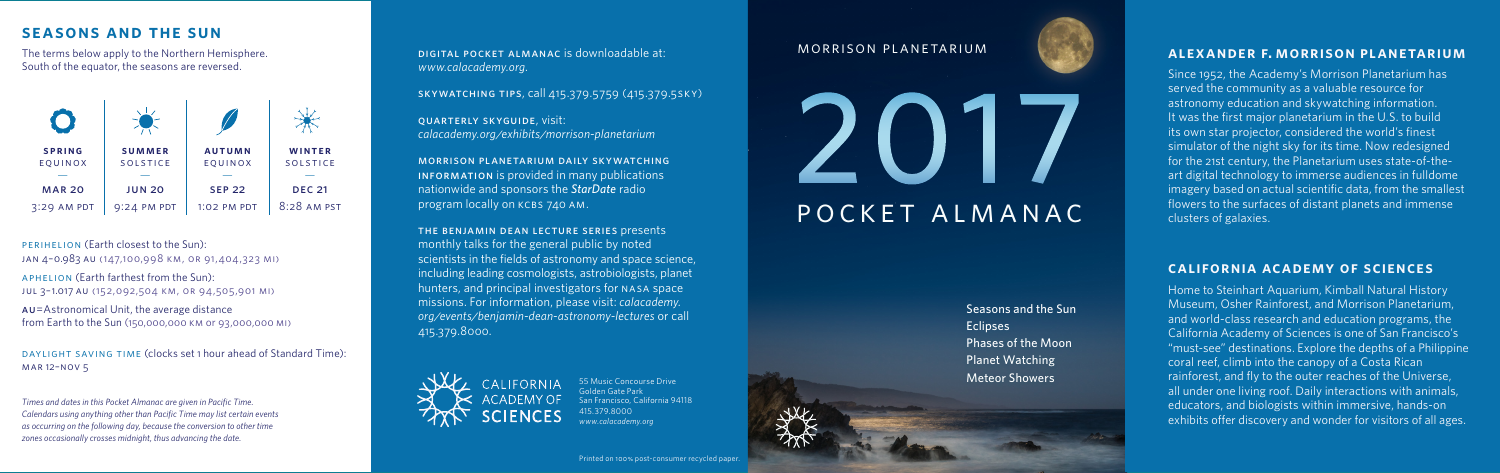#### **Alexander F. Morrison Planetarium**

Since 1952, the Academy's Morrison Planetarium has served the community as a valuable resource for astronomy education and skywatching information. It was the first major planetarium in the U.S. to build its own star projector, considered the world's finest simulator of the night sky for its time. Now redesigned for the 21st century, the Planetarium uses state-of-theart digital technology to immerse audiences in fulldome imagery based on actual scientific data, from the smallest flowers to the surfaces of distant planets and immense clusters of galaxies.

#### **California Academy of Sciences**

Home to Steinhart Aquarium, Kimball Natural History Museum, Osher Rainforest, and Morrison Planetarium, and world-class research and education programs, the California Academy of Sciences is one of San Francisco's "must-see" destinations. Explore the depths of a Philippine coral reef, climb into the canopy of a Costa Rican rainforest, and fly to the outer reaches of the Universe, all under one living roof. Daily interactions with animals, educators, and biologists within immersive, hands-on exhibits offer discovery and wonder for visitors of all ages.

## **SEASONS AND THE SUN**

The terms below apply to the Northern Hemisphere. South of the equator, the seasons are reversed.

#### PERIHELION (Earth closest to the Sun): Jan 4–0.983 AU (147,100,998 km, or 91,404,323 mi)

APHELION (Earth farthest from the Sun): Jul 3–1.017 AU (152,092,504 km, or 94,505,901 mi)

Au=Astronomical Unit, the average distance from Earth to the Sun (150,000,000 km or 93,000,000 mi)

DAYLIGHT SAVING TIME (clocks set 1 hour ahead of Standard Time): Mar 12–Nov 5

*Times and dates in this Pocket Almanac are given in Pacific Time. Calendars using anything other than Pacific Time may list certain events as occurring on the following day, because the conversion to other time zones occasionally crosses midnight, thus advancing the date.* 



Digital Pocket Almanac is downloadable at: *www.calacademy.org*.

Skywatching tips, call 415.379.5759 (415.379.5SKY)

Quarterly SkyGuide, visit: *calacademy.org/exhibits/morrison-planetarium*

Morrison Planetarium daily skywatching INFORMATION is provided in many publications nationwide and sponsors the *StarDate* radio program locally on KCBS 740 AM.

The Benjamin Dean Lecture Series presents monthly talks for the general public by noted scientists in the fields of astronomy and space science, including leading cosmologists, astrobiologists, planet hunters, and principal investigators for NASA space missions. For information, please visit: *calacademy. org/events/benjamin-dean-astronomy-lectures* or call 415.379.8000.



55 Music Concourse Drive Golden Gate Park San Francisco, California 94118 415.379.8000 *www.calacademy.org*

Seasons and the Sun **Eclipses** Phases of the Moon Planet Watching Meteor Showers

## Morrison Planetarium